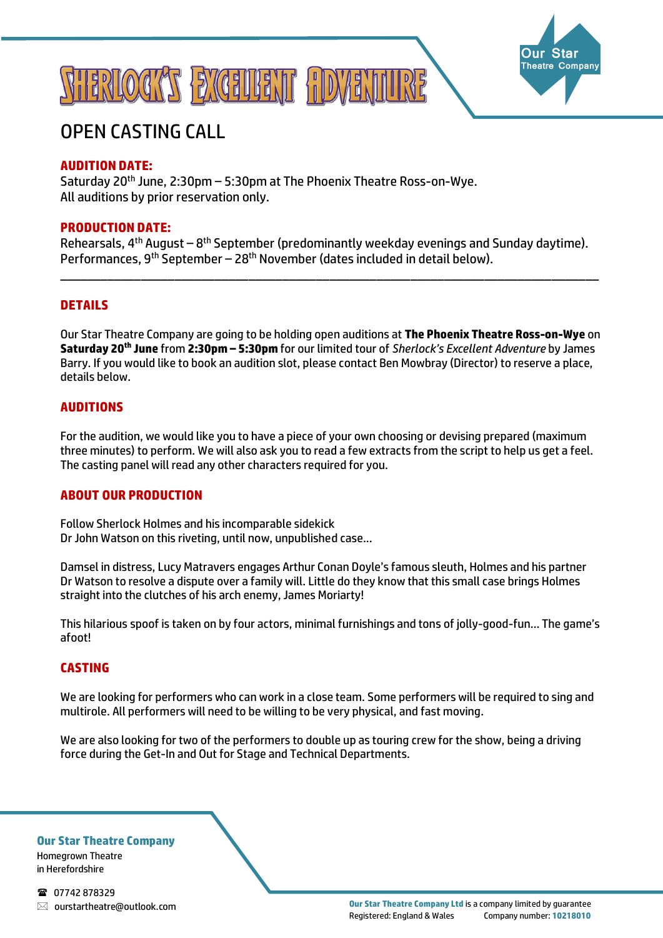



# OPEN CASTING CALL

# **AUDITION DATE:**

Saturday 20<sup>th</sup> June, 2:30pm – 5:30pm at The Phoenix Theatre Ross-on-Wye. All auditions by prior reservation only.

# **PRODUCTION DATE:**

Rehearsals,  $4<sup>th</sup>$  August –  $8<sup>th</sup>$  September (predominantly weekday evenings and Sunday daytime). Performances, 9th September – 28th November (dates included in detail below).

\_\_\_\_\_\_\_\_\_\_\_\_\_\_\_\_\_\_\_\_\_\_\_\_\_\_\_\_\_\_\_\_\_\_\_\_\_\_\_\_\_\_\_\_\_\_\_\_\_\_\_\_\_\_\_\_\_\_\_\_\_\_\_\_\_\_\_\_\_\_\_\_\_\_\_\_\_\_\_\_

# **DETAILS**

Our Star Theatre Company are going to be holding open auditions at **The Phoenix Theatre Ross-on-Wye** on **Saturday 20th June** from **2:30pm – 5:30pm** for our limited tour of *Sherlock's Excellent Adventure* by James Barry. If you would like to book an audition slot, please contact Ben Mowbray (Director) to reserve a place, details below.

### **AUDITIONS**

For the audition, we would like you to have a piece of your own choosing or devising prepared (maximum three minutes) to perform. We will also ask you to read a few extracts from the script to help us get a feel. The casting panel will read any other characters required for you.

# **ABOUT OUR PRODUCTION**

Follow Sherlock Holmes and his incomparable sidekick Dr John Watson on this riveting, until now, unpublished case...

Damsel in distress, Lucy Matravers engages Arthur Conan Doyle's famous sleuth, Holmes and his partner Dr Watson to resolve a dispute over a family will. Little do they know that this small case brings Holmes straight into the clutches of his arch enemy, James Moriarty!

This hilarious spoof is taken on by four actors, minimal furnishings and tons of jolly-good-fun… The game's afoot!

#### **CASTING**

We are looking for performers who can work in a close team. Some performers will be required to sing and multirole. All performers will need to be willing to be very physical, and fast moving.

We are also looking for two of the performers to double up as touring crew for the show, being a driving force during the Get-In and Out for Stage and Technical Departments.

**Our Star Theatre Company** Homegrown Theatre

in Herefordshire

18 07742 878329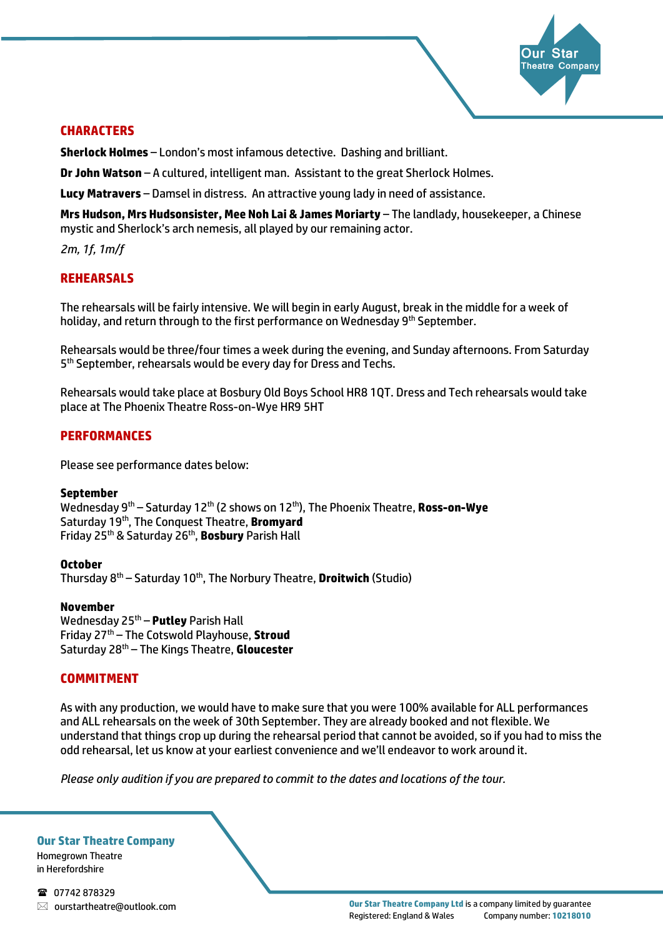

# **CHARACTERS**

**Sherlock Holmes** – London's most infamous detective. Dashing and brilliant.

**Dr John Watson** – A cultured, intelligent man. Assistant to the great Sherlock Holmes.

**Lucy Matravers** – Damsel in distress. An attractive young lady in need of assistance.

**Mrs Hudson, Mrs Hudsonsister, Mee Noh Lai & James Moriarty** – The landlady, housekeeper, a Chinese mystic and Sherlock's arch nemesis, all played by our remaining actor.

*2m, 1f, 1m/f*

# **REHEARSALS**

The rehearsals will be fairly intensive. We will begin in early August, break in the middle for a week of holiday, and return through to the first performance on Wednesday 9<sup>th</sup> September.

Rehearsals would be three/four times a week during the evening, and Sunday afternoons. From Saturday 5<sup>th</sup> September, rehearsals would be every day for Dress and Techs.

Rehearsals would take place at Bosbury Old Boys School HR8 1QT. Dress and Tech rehearsals would take place at The Phoenix Theatre Ross-on-Wye HR9 5HT

# **PERFORMANCES**

Please see performance dates below:

#### **September**

Wednesday 9th – Saturday 12th (2 shows on 12th), The Phoenix Theatre, **Ross-on-Wye** Saturday 19th, The Conquest Theatre, **Bromyard** Friday 25th & Saturday 26th, **Bosbury** Parish Hall

**October** Thursday 8th – Saturday 10th, The Norbury Theatre, **Droitwich** (Studio)

**November**

Wednesday 25th – **Putley** Parish Hall Friday 27th – The Cotswold Playhouse, **Stroud** Saturday 28th – The Kings Theatre, **Gloucester**

# **COMMITMENT**

As with any production, we would have to make sure that you were 100% available for ALL performances and ALL rehearsals on the week of 30th September. They are already booked and not flexible. We understand that things crop up during the rehearsal period that cannot be avoided, so if you had to miss the odd rehearsal, let us know at your earliest convenience and we'll endeavor to work around it.

*Please only audition if you are prepared to commit to the dates and locations of the tour.*

**Our Star Theatre Company**

Homegrown Theatre in Herefordshire

1 07742 878329